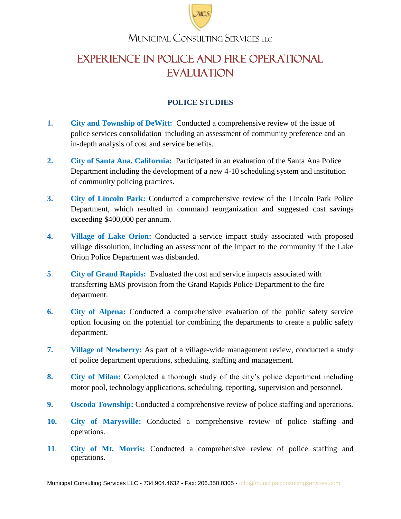

# EXPERIENCE IN Police and Fire Operational **EVALUATION**

### **POLICE STUDIES**

- **1. City and Township of DeWitt:** Conducted a comprehensive review of the issue of police services consolidation including an assessment of community preference and an in-depth analysis of cost and service benefits.
- **2. City of Santa Ana, California:** Participated in an evaluation of the Santa Ana Police Department including the development of a new 4-10 scheduling system and institution of community policing practices.
- **3. City of Lincoln Park:** Conducted a comprehensive review of the Lincoln Park Police Department, which resulted in command reorganization and suggested cost savings exceeding \$400,000 per annum.
- **4. Village of Lake Orion:** Conducted a service impact study associated with proposed village dissolution, including an assessment of the impact to the community if the Lake Orion Police Department was disbanded.
- **5**. **City of Grand Rapids:** Evaluated the cost and service impacts associated with transferring EMS provision from the Grand Rapids Police Department to the fire department.
- **6. City of Alpena:** Conducted a comprehensive evaluation of the public safety service option focusing on the potential for combining the departments to create a public safety department.
- **7. Village of Newberry:** As part of a village-wide management review, conducted a study of police department operations, scheduling, staffing and management.
- **8. City of Milan:** Completed a thorough study of the city's police department including motor pool, technology applications, scheduling, reporting, supervision and personnel.
- **9. •• Oscoda Township:** Conducted a comprehensive review of police staffing and operations.
- **10. City of Marysville:** Conducted a comprehensive review of police staffing and operations.
- **11**. **City of Mt. Morris:** Conducted a comprehensive review of police staffing and operations.

Municipal Consulting Services LLC - 734.904.4632 - Fax: 206.350.0305 - [info@municipalconsultingservices.com](mailto:info@municipalconsultingservices.com)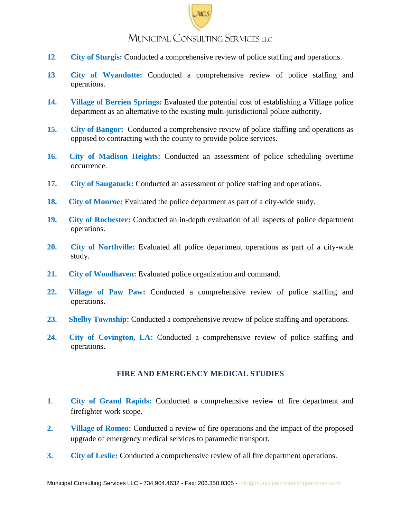- **12**. **City of Sturgis:** Conducted a comprehensive review of police staffing and operations.
- **13**. **City of Wyandotte:** Conducted a comprehensive review of police staffing and operations.
- **14. Village of Berrien Springs:** Evaluated the potential cost of establishing a Village police department as an alternative to the existing multi-jurisdictional police authority.
- **15. City of Bangor:** Conducted a comprehensive review of police staffing and operations as opposed to contracting with the county to provide police services.
- **16. City of Madison Heights:** Conducted an assessment of police scheduling overtime occurrence.
- **17. City of Saugatuck:** Conducted an assessment of police staffing and operations.
- **18.** City of Monroe: Evaluated the police department as part of a city-wide study.
- **19. City of Rochester:** Conducted an in-depth evaluation of all aspects of police department operations.
- **20. City of Northville:** Evaluated all police department operations as part of a city-wide study.
- **21. City of Woodhaven:** Evaluated police organization and command.
- **22. Village of Paw Paw:** Conducted a comprehensive review of police staffing and operations.
- **23. Shelby Township:** Conducted a comprehensive review of police staffing and operations.
- **24. City of Covington, LA:** Conducted a comprehensive review of police staffing and operations.

#### **FIRE AND EMERGENCY MEDICAL STUDIES**

- **1**. **City of Grand Rapids:** Conducted a comprehensive review of fire department and firefighter work scope.
- **2. Village of Romeo:** Conducted a review of fire operations and the impact of the proposed upgrade of emergency medical services to paramedic transport.
- **3. City of Leslie:** Conducted a comprehensive review of all fire department operations.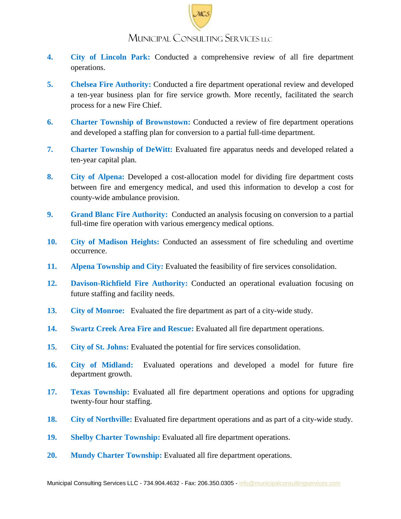- **4. City of Lincoln Park:** Conducted a comprehensive review of all fire department operations.
- **5. Chelsea Fire Authority:** Conducted a fire department operational review and developed a ten-year business plan for fire service growth. More recently, facilitated the search process for a new Fire Chief.
- **6. Charter Township of Brownstown:** Conducted a review of fire department operations and developed a staffing plan for conversion to a partial full-time department.
- **7. Charter Township of DeWitt:** Evaluated fire apparatus needs and developed related a ten-year capital plan.
- **8. City of Alpena:** Developed a cost-allocation model for dividing fire department costs between fire and emergency medical, and used this information to develop a cost for county-wide ambulance provision.
- **9. Grand Blanc Fire Authority:** Conducted an analysis focusing on conversion to a partial full-time fire operation with various emergency medical options.
- **10. City of Madison Heights:** Conducted an assessment of fire scheduling and overtime occurrence.
- **11. Alpena Township and City:** Evaluated the feasibility of fire services consolidation.
- **12. Davison-Richfield Fire Authority:** Conducted an operational evaluation focusing on future staffing and facility needs.
- **13**.**City of Monroe:** Evaluated the fire department as part of a city-wide study.
- **14.****Swartz Creek Area Fire and Rescue:** Evaluated all fire department operations.
- **15**.**City of St. Johns:** Evaluated the potential for fire services consolidation.
- **16.****City of Midland:** Evaluated operations and developed a model for future fire department growth.
- **17.****Texas Township:** Evaluated all fire department operations and options for upgrading twenty-four hour staffing.
- **18. City of Northville:** Evaluated fire department operations and as part of a city-wide study.
- **19. Shelby Charter Township:** Evaluated all fire department operations.
- **20. Mundy Charter Township:** Evaluated all fire department operations.